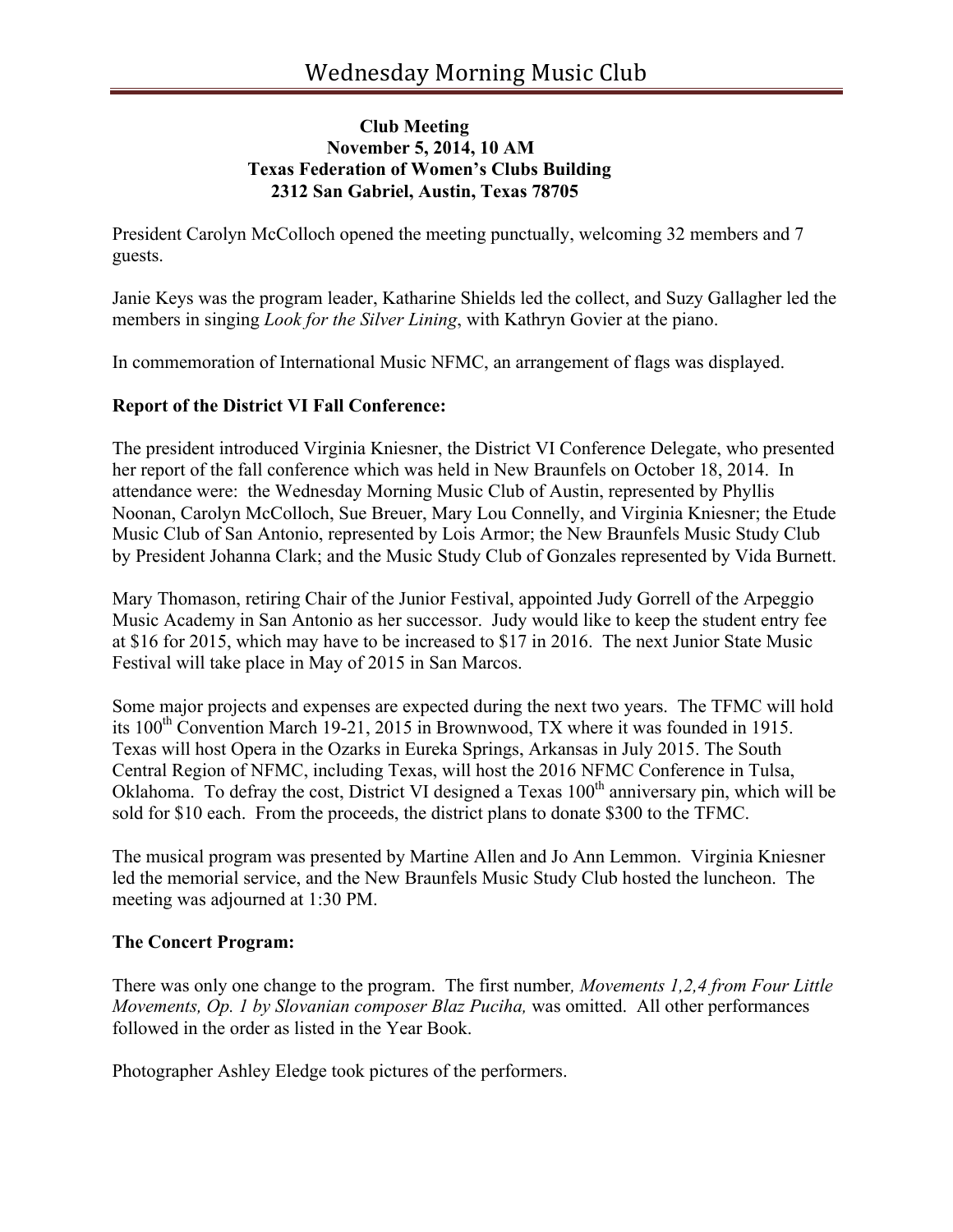## **Club Meeting November 5, 2014, 10 AM Texas Federation of Women's Clubs Building 2312 San Gabriel, Austin, Texas 78705**

President Carolyn McColloch opened the meeting punctually, welcoming 32 members and 7 guests.

Janie Keys was the program leader, Katharine Shields led the collect, and Suzy Gallagher led the members in singing *Look for the Silver Lining*, with Kathryn Govier at the piano.

In commemoration of International Music NFMC, an arrangement of flags was displayed.

# **Report of the District VI Fall Conference:**

The president introduced Virginia Kniesner, the District VI Conference Delegate, who presented her report of the fall conference which was held in New Braunfels on October 18, 2014. In attendance were: the Wednesday Morning Music Club of Austin, represented by Phyllis Noonan, Carolyn McColloch, Sue Breuer, Mary Lou Connelly, and Virginia Kniesner; the Etude Music Club of San Antonio, represented by Lois Armor; the New Braunfels Music Study Club by President Johanna Clark; and the Music Study Club of Gonzales represented by Vida Burnett.

Mary Thomason, retiring Chair of the Junior Festival, appointed Judy Gorrell of the Arpeggio Music Academy in San Antonio as her successor. Judy would like to keep the student entry fee at \$16 for 2015, which may have to be increased to \$17 in 2016. The next Junior State Music Festival will take place in May of 2015 in San Marcos.

Some major projects and expenses are expected during the next two years. The TFMC will hold its 100<sup>th</sup> Convention March 19-21, 2015 in Brownwood, TX where it was founded in 1915. Texas will host Opera in the Ozarks in Eureka Springs, Arkansas in July 2015. The South Central Region of NFMC, including Texas, will host the 2016 NFMC Conference in Tulsa, Oklahoma. To defray the cost, District VI designed a Texas  $100<sup>th</sup>$  anniversary pin, which will be sold for \$10 each. From the proceeds, the district plans to donate \$300 to the TFMC.

The musical program was presented by Martine Allen and Jo Ann Lemmon. Virginia Kniesner led the memorial service, and the New Braunfels Music Study Club hosted the luncheon. The meeting was adjourned at 1:30 PM.

#### **The Concert Program:**

There was only one change to the program. The first number*, Movements 1,2,4 from Four Little Movements, Op. 1 by Slovanian composer Blaz Puciha,* was omitted. All other performances followed in the order as listed in the Year Book.

Photographer Ashley Eledge took pictures of the performers.